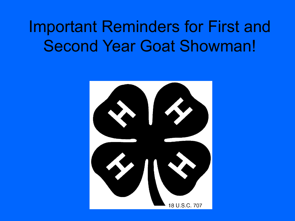## Important Reminders for First and Second Year Goat Showman!

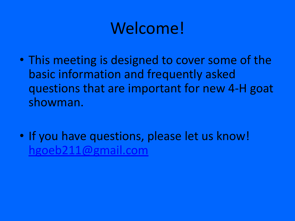## Welcome!

- This meeting is designed to cover some of the basic information and frequently asked questions that are important for new 4-H goat showman.
- If you have questions, please let us know! [hgoeb211@gmail.com](mailto:hgoeb211@gmail.com)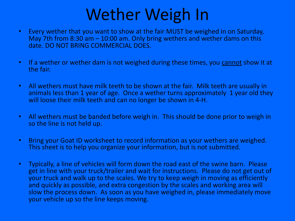### Wether Weigh In

- Every wether that you want to show at the fair MUST be weighed in on Saturday, May 7th from 8:30 am – 10:00 am. Only bring wethers and wether dams on this date. DO NOT BRING COMMERCIAL DOES.
- If a wether or wether dam is not weighed during these times, you cannot show it at the fair.
- All wethers must have milk teeth to be shown at the fair. Milk teeth are usually in animals less than 1 year of age. Once a wether turns approximately 1 year old they will loose their milk teeth and can no longer be shown in 4-H.
- All wethers must be banded before weigh in. This should be done prior to weigh in so the line is not held up.
- Bring your Goat ID worksheet to record information as your wethers are weighed. This sheet is to help you organize your information, but is not submitted.
- Typically, a line of vehicles will form down the road east of the swine barn. Please get in line with your truck/trailer and wait for instructions. Please do not get out of your truck and walk up to the scales. We try to keep weigh in moving as efficiently and quickly as possible, and extra congestion by the scales and working area will slow the process down. As soon as you have weighed in, please immediately move your vehicle up so the line keeps moving.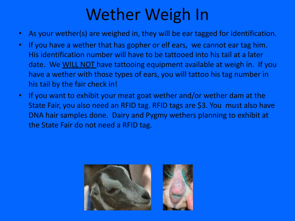## Wether Weigh In

- As your wether(s) are weighed in, they will be ear tagged for identification.
- If you have a wether that has gopher or elf ears, we cannot ear tag him. His identification number will have to be tattooed into his tail at a later date. We WILL NOT have tattooing equipment available at weigh in. If you have a wether with those types of ears, you will tattoo his tag number in his tail by the fair check in!
- If you want to exhibit your meat goat wether and/or wether dam at the State Fair, you also need an RFID tag. RFID tags are \$3. You must also have DNA hair samples done. Dairy and Pygmy wethers planning to exhibit at the State Fair do not need a RFID tag.

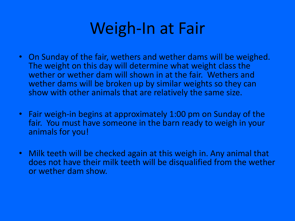### Weigh-In at Fair

- On Sunday of the fair, wethers and wether dams will be weighed. The weight on this day will determine what weight class the wether or wether dam will shown in at the fair. Wethers and wether dams will be broken up by similar weights so they can show with other animals that are relatively the same size.
- Fair weigh-in begins at approximately 1:00 pm on Sunday of the fair. You must have someone in the barn ready to weigh in your animals for you!
- Milk teeth will be checked again at this weigh in. Any animal that does not have their milk teeth will be disqualified from the wether or wether dam show.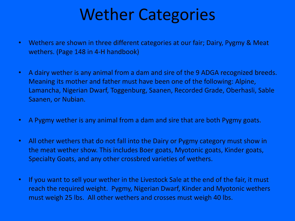### Wether Categories

- Wethers are shown in three different categories at our fair; Dairy, Pygmy & Meat wethers. (Page 148 in 4-H handbook)
- A dairy wether is any animal from a dam and sire of the 9 ADGA recognized breeds. Meaning its mother and father must have been one of the following: Alpine, Lamancha, Nigerian Dwarf, Toggenburg, Saanen, Recorded Grade, Oberhasli, Sable Saanen, or Nubian.
- A Pygmy wether is any animal from a dam and sire that are both Pygmy goats.
- All other wethers that do not fall into the Dairy or Pygmy category must show in the meat wether show. This includes Boer goats, Myotonic goats, Kinder goats, Specialty Goats, and any other crossbred varieties of wethers.
- If you want to sell your wether in the Livestock Sale at the end of the fair, it must reach the required weight. Pygmy, Nigerian Dwarf, Kinder and Myotonic wethers must weigh 25 lbs. All other wethers and crosses must weigh 40 lbs.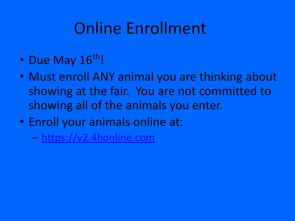## Online Enrollment

- Due May 16th!
- Must enroll ANY animal you are thinking about showing at the fair. You are not committed to showing all of the animals you enter.
- Enroll your animals online at:
	- [https://v2.4honline.com](https://in.4honline.com/)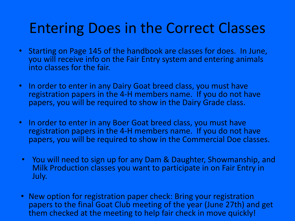#### Entering Does in the Correct Classes

- Starting on Page 145 of the handbook are classes for does. In June, you will receive info on the Fair Entry system and entering animals into classes for the fair.
- In order to enter in any Dairy Goat breed class, you must have registration papers in the 4-H members name. If you do not have papers, you will be required to show in the Dairy Grade class.
- In order to enter in any Boer Goat breed class, you must have registration papers in the 4-H members name. If you do not have papers, you will be required to show in the Commercial Doe classes.
- You will need to sign up for any Dam & Daughter, Showmanship, and Milk Production classes you want to participate in on Fair Entry in July.
- New option for registration paper check: Bring your registration papers to the final Goat Club meeting of the year (June 27th) and get them checked at the meeting to help fair check in move quickly!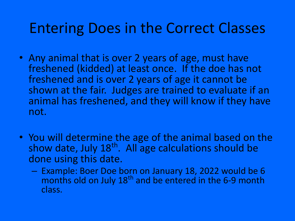#### Entering Does in the Correct Classes

- Any animal that is over 2 years of age, must have freshened (kidded) at least once. If the doe has not freshened and is over 2 years of age it cannot be shown at the fair. Judges are trained to evaluate if an animal has freshened, and they will know if they have not.
- You will determine the age of the animal based on the show date, July 18<sup>th</sup>. All age calculations should be done using this date.
	- Example: Boer Doe born on January 18, 2022 would be 6 months old on July 18<sup>th</sup> and be entered in the 6-9 month class.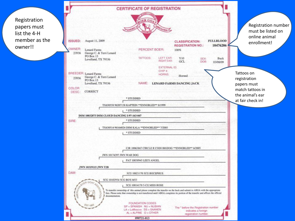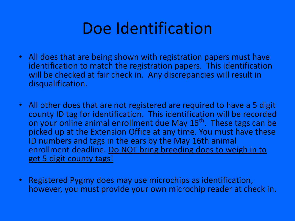### Doe Identification

- All does that are being shown with registration papers must have identification to match the registration papers. This identification will be checked at fair check in. Any discrepancies will result in disqualification.
- All other does that are not registered are required to have a 5 digit county ID tag for identification. This identification will be recorded on your online animal enrollment due May 16<sup>th</sup>. These tags can be picked up at the Extension Office at any time. You must have these ID numbers and tags in the ears by the May 16th animal enrollment deadline. Do NOT bring breeding does to weigh in to get 5 digit county tags!
- Registered Pygmy does may use microchips as identification, however, you must provide your own microchip reader at check in.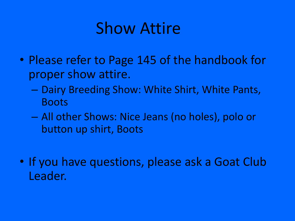### Show Attire

- Please refer to Page 145 of the handbook for proper show attire.
	- Dairy Breeding Show: White Shirt, White Pants, Boots
	- All other Shows: Nice Jeans (no holes), polo or button up shirt, Boots
- If you have questions, please ask a Goat Club Leader.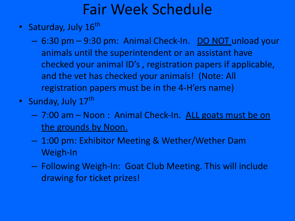#### Fair Week Schedule

- Saturday, July 16<sup>th</sup>
	- 6:30 pm 9:30 pm: Animal Check-In. DO NOT unload your animals until the superintendent or an assistant have checked your animal ID's , registration papers if applicable, and the vet has checked your animals! (Note: All registration papers must be in the 4-H'ers name)
- Sunday, July 17th
	- 7:00 am Noon : Animal Check-In. ALL goats must be on the grounds by Noon.
	- 1:00 pm: Exhibitor Meeting & Wether/Wether Dam Weigh-In
	- Following Weigh-In: Goat Club Meeting. This will include drawing for ticket prizes!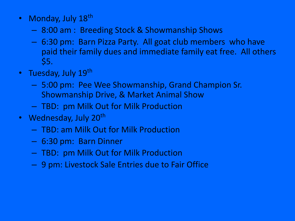- Monday, July 18<sup>th</sup>
	- 8:00 am : Breeding Stock & Showmanship Shows
	- 6:30 pm: Barn Pizza Party. All goat club members who have paid their family dues and immediate family eat free. All others \$5.
- Tuesday, July 19<sup>th</sup>
	- 5:00 pm: Pee Wee Showmanship, Grand Champion Sr. Showmanship Drive, & Market Animal Show
	- TBD: pm Milk Out for Milk Production
- Wednesday, July 20<sup>th</sup>
	- TBD: am Milk Out for Milk Production
	- 6:30 pm: Barn Dinner
	- TBD: pm Milk Out for Milk Production
	- 9 pm: Livestock Sale Entries due to Fair Office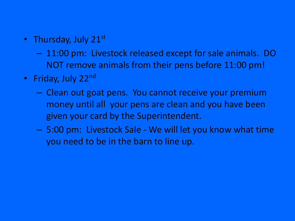- Thursday, July 21 $^{\rm st}$ 
	- 11:00 pm: Livestock released except for sale animals. DO NOT remove animals from their pens before 11:00 pm!
- Friday, July 22<sup>nd</sup>
	- Clean out goat pens. You cannot receive your premium money until all your pens are clean and you have been given your card by the Superintendent.
	- 5:00 pm: Livestock Sale We will let you know what time you need to be in the barn to line up.